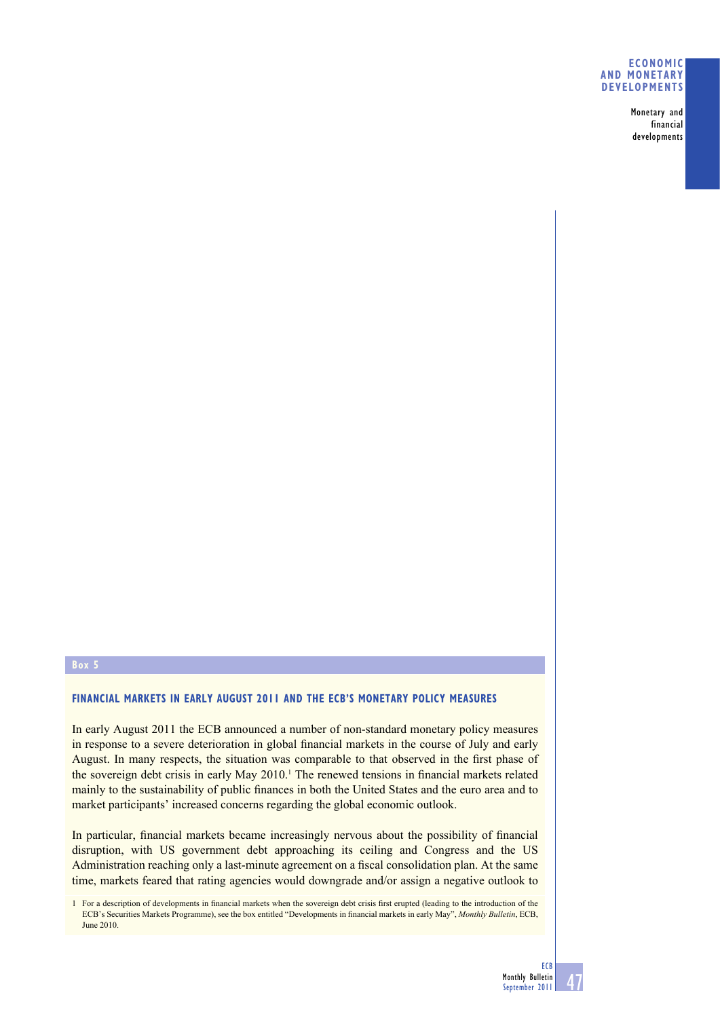**Monetary and financial developments**

## **Box 5**

## **FINANCIAL MARKETS IN EARLY AUGUST 2011 AND THE ECB'S MONETARY POLICY MEASURES**

In early August 2011 the ECB announced a number of non-standard monetary policy measures in response to a severe deterioration in global financial markets in the course of July and early August. In many respects, the situation was comparable to that observed in the first phase of the sovereign debt crisis in early May 2010.<sup>1</sup> The renewed tensions in financial markets related mainly to the sustainability of public finances in both the United States and the euro area and to market participants' increased concerns regarding the global economic outlook.

In particular, financial markets became increasingly nervous about the possibility of financial disruption, with US government debt approaching its ceiling and Congress and the US Administration reaching only a last-minute agreement on a fiscal consolidation plan. At the same time, markets feared that rating agencies would downgrade and/or assign a negative outlook to

1 For a description of developments in financial markets when the sovereign debt crisis first erupted (leading to the introduction of the ECB's Securities Markets Programme), see the box entitled "Developments in financial markets in early May", *Monthly Bulletin*, ECB, June 2010.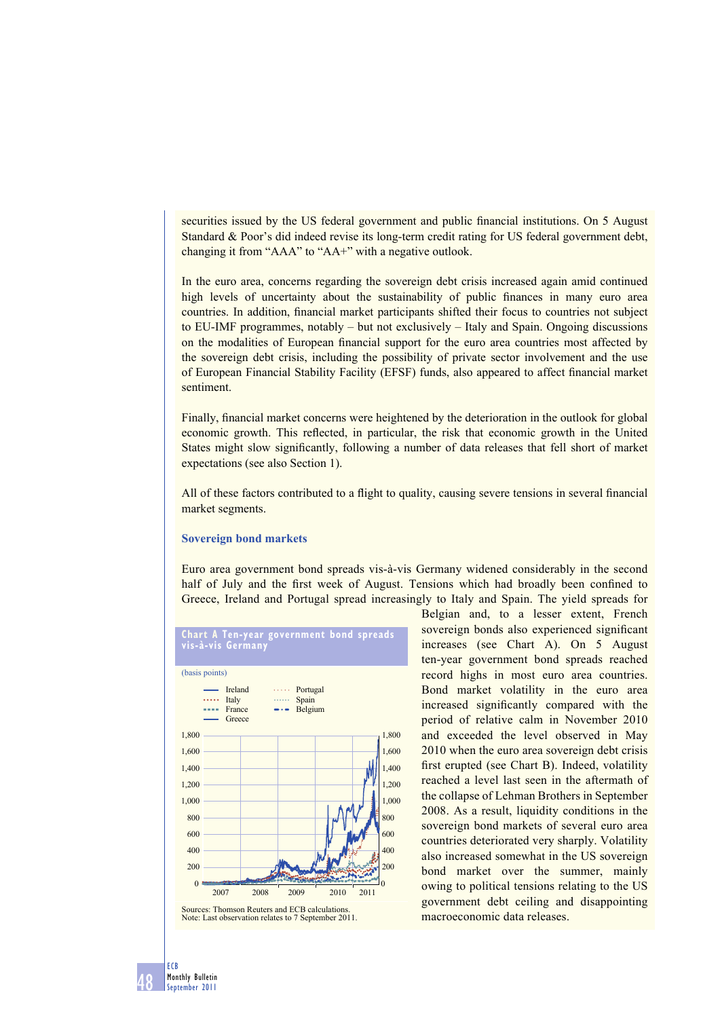securities issued by the US federal government and public financial institutions. On 5 August Standard & Poor's did indeed revise its long-term credit rating for US federal government debt, changing it from "AAA" to "AA+" with a negative outlook.

In the euro area, concerns regarding the sovereign debt crisis increased again amid continued high levels of uncertainty about the sustainability of public finances in many euro area countries. In addition, financial market participants shifted their focus to countries not subject to EU-IMF programmes, notably – but not exclusively – Italy and Spain. Ongoing discussions on the modalities of European financial support for the euro area countries most affected by the sovereign debt crisis, including the possibility of private sector involvement and the use of European Financial Stability Facility (EFSF) funds, also appeared to affect financial market sentiment.

Finally, financial market concerns were heightened by the deterioration in the outlook for global economic growth. This reflected, in particular, the risk that economic growth in the United States might slow significantly, following a number of data releases that fell short of market expectations (see also Section 1).

All of these factors contributed to a flight to quality, causing severe tensions in several financial market segments.

### **Sovereign bond markets**

Euro area government bond spreads vis-à-vis Germany widened considerably in the second half of July and the first week of August. Tensions which had broadly been confined to Greece, Ireland and Portugal spread increasingly to Italy and Spain. The yield spreads for



Belgian and, to a lesser extent, French sovereign bonds also experienced significant increases (see Chart A). On 5 August ten-year government bond spreads reached record highs in most euro area countries. Bond market volatility in the euro area increased significantly compared with the period of relative calm in November 2010 and exceeded the level observed in May 2010 when the euro area sovereign debt crisis first erupted (see Chart B). Indeed, volatility reached a level last seen in the aftermath of the collapse of Lehman Brothers in September 2008. As a result, liquidity conditions in the sovereign bond markets of several euro area countries deteriorated very sharply. Volatility also increased somewhat in the US sovereign bond market over the summer, mainly owing to political tensions relating to the US government debt ceiling and disappointing macroeconomic data releases.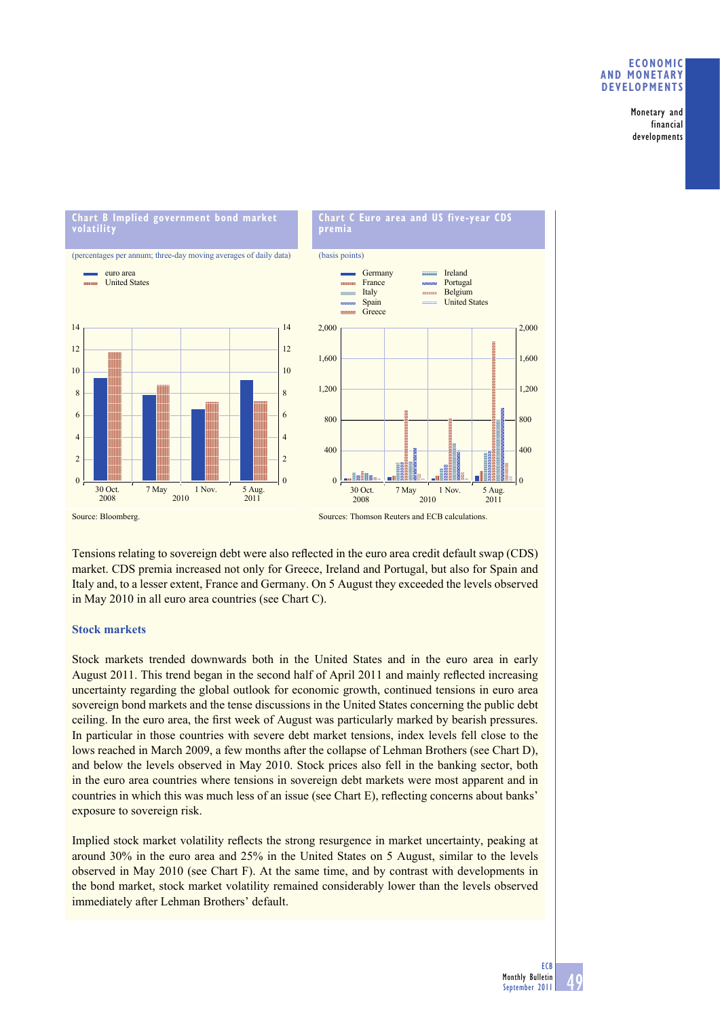**Monetary and financial developments**



Tensions relating to sovereign debt were also reflected in the euro area credit default swap (CDS) market. CDS premia increased not only for Greece, Ireland and Portugal, but also for Spain and Italy and, to a lesser extent, France and Germany. On 5 August they exceeded the levels observed in May 2010 in all euro area countries (see Chart C).

## **Stock markets**

Stock markets trended downwards both in the United States and in the euro area in early August 2011. This trend began in the second half of April 2011 and mainly reflected increasing uncertainty regarding the global outlook for economic growth, continued tensions in euro area sovereign bond markets and the tense discussions in the United States concerning the public debt ceiling. In the euro area, the first week of August was particularly marked by bearish pressures. In particular in those countries with severe debt market tensions, index levels fell close to the lows reached in March 2009, a few months after the collapse of Lehman Brothers (see Chart D), and below the levels observed in May 2010. Stock prices also fell in the banking sector, both in the euro area countries where tensions in sovereign debt markets were most apparent and in countries in which this was much less of an issue (see Chart E), reflecting concerns about banks' exposure to sovereign risk.

Implied stock market volatility reflects the strong resurgence in market uncertainty, peaking at around 30% in the euro area and 25% in the United States on 5 August, similar to the levels observed in May 2010 (see Chart F). At the same time, and by contrast with developments in the bond market, stock market volatility remained considerably lower than the levels observed immediately after Lehman Brothers' default.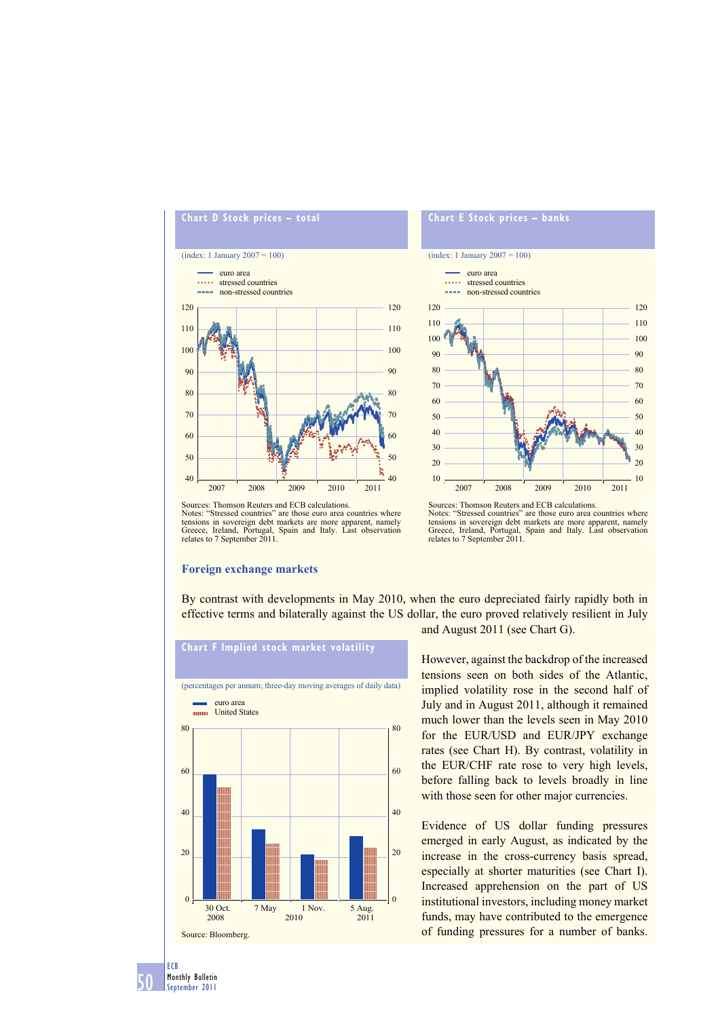

# (index: 1 January 2007 = 100) 90 100 110 120 euro area ..... stressed countries **non-stressed countries**

110 120

**Chart E Stock prices – banks**



Sources: Thomson Reuters and ECB calculations. Notes: "Stressed countries" are those euro area countries where tensions in sovereign debt markets are more apparent, namely Greece, Ireland, Portugal, Spain and Italy. Last observation relates to 7 September 2011.

#### **Foreign exchange markets**



By contrast with developments in May 2010, when the euro depreciated fairly rapidly both in effective terms and bilaterally against the US dollar, the euro proved relatively resilient in July



and August 2011 (see Chart G).

However, against the backdrop of the increased tensions seen on both sides of the Atlantic, implied volatility rose in the second half of July and in August 2011, although it remained much lower than the levels seen in May 2010 for the EUR/USD and EUR/JPY exchange rates (see Chart H). By contrast, volatility in the EUR/CHF rate rose to very high levels, before falling back to levels broadly in line with those seen for other major currencies.

Evidence of US dollar funding pressures emerged in early August, as indicated by the increase in the cross-currency basis spread, especially at shorter maturities (see Chart I). Increased apprehension on the part of US institutional investors, including money market funds, may have contributed to the emergence of funding pressures for a number of banks.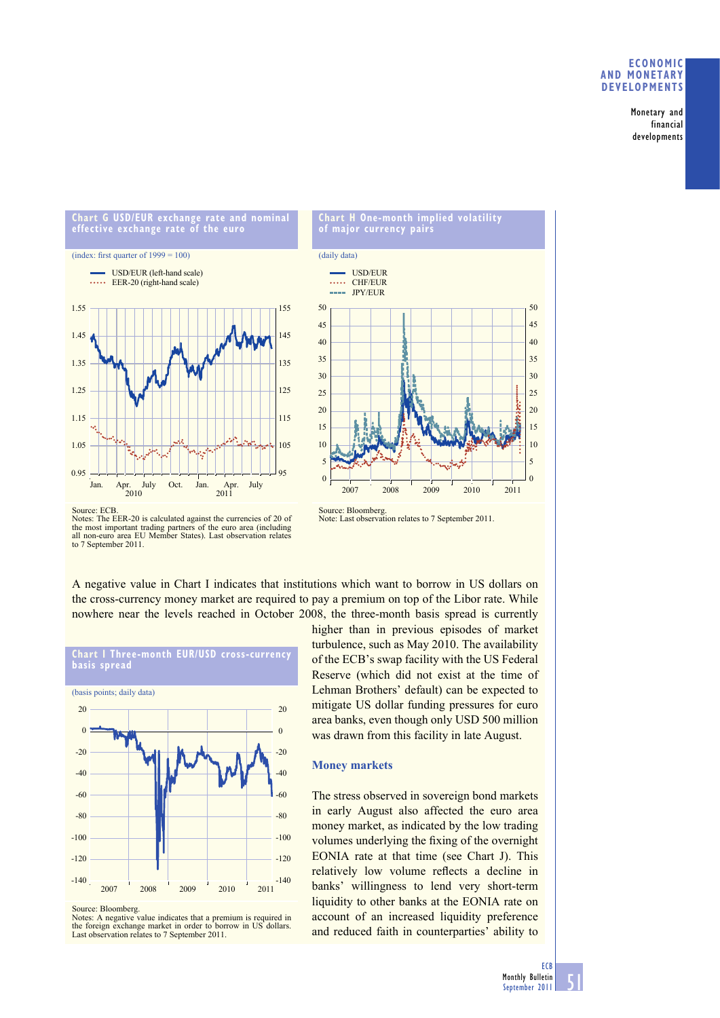**Monetary and financial developments**





2007 2008 2009 2010 2011

Source: Bloomberg. Note: Last observation relates to 7 September 2011.

5

 $\overline{0}$ 

A negative value in Chart I indicates that institutions which want to borrow in US dollars on the cross-currency money market are required to pay a premium on top of the Libor rate. While nowhere near the levels reached in October 2008, the three-month basis spread is currently



**Chart I Three-month EUR/USD cross-currency basis spread**

Source: Bloomberg.

Notes: *A* negative value indicates that a premium is required in the foreign exchange market in order to borrow in US dollars. Last observation relates to 7 September 2011.

higher than in previous episodes of market turbulence, such as May 2010. The availability of the ECB's swap facility with the US Federal Reserve (which did not exist at the time of Lehman Brothers' default) can be expected to mitigate US dollar funding pressures for euro area banks, even though only USD 500 million was drawn from this facility in late August.

### **Money markets**

The stress observed in sovereign bond markets in early August also affected the euro area money market, as indicated by the low trading volumes underlying the fixing of the overnight EONIA rate at that time (see Chart J). This relatively low volume reflects a decline in banks' willingness to lend very short-term liquidity to other banks at the EONIA rate on account of an increased liquidity preference and reduced faith in counterparties' ability to

5

 $\overline{0}$ 

Notes: The EER-20 is calculated against the currencies of 20 of the most important trading partners of the euro area (including all non-euro area EU Member States). Last observation relates to 7 September 2011.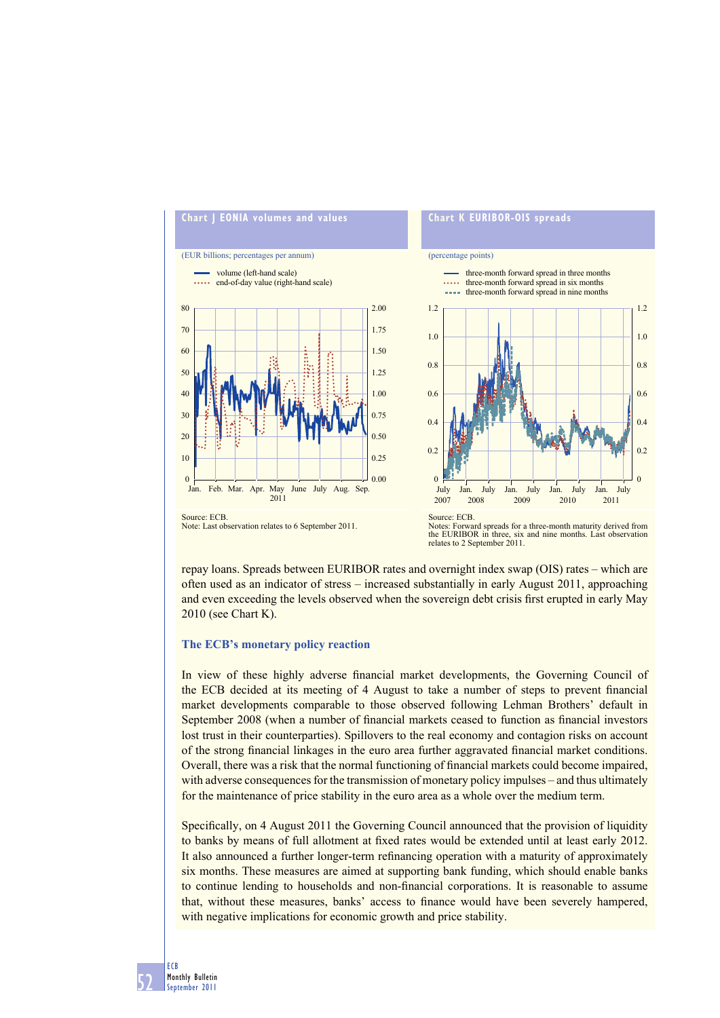

Note: Last observation relates to 6 September 2011.

Notes: Forward spreads for a three-month maturity derived from the EURIBOR in three, six and nine months. Last observation relates to 2 September 2011.

repay loans. Spreads between EURIBOR rates and overnight index swap (OIS) rates – which are often used as an indicator of stress – increased substantially in early August 2011, approaching and even exceeding the levels observed when the sovereign debt crisis first erupted in early May 2010 (see Chart K).

### **The ECB's monetary policy reaction**

In view of these highly adverse financial market developments, the Governing Council of the ECB decided at its meeting of 4 August to take a number of steps to prevent financial market developments comparable to those observed following Lehman Brothers' default in September 2008 (when a number of financial markets ceased to function as financial investors lost trust in their counterparties). Spillovers to the real economy and contagion risks on account of the strong financial linkages in the euro area further aggravated financial market conditions. Overall, there was a risk that the normal functioning of financial markets could become impaired, with adverse consequences for the transmission of monetary policy impulses – and thus ultimately for the maintenance of price stability in the euro area as a whole over the medium term.

Specifically, on 4 August 2011 the Governing Council announced that the provision of liquidity to banks by means of full allotment at fixed rates would be extended until at least early 2012. It also announced a further longer-term refinancing operation with a maturity of approximately six months. These measures are aimed at supporting bank funding, which should enable banks to continue lending to households and non-financial corporations. It is reasonable to assume that, without these measures, banks' access to finance would have been severely hampered, with negative implications for economic growth and price stability.

**52 ECB Monthly Bulletin September 2011**